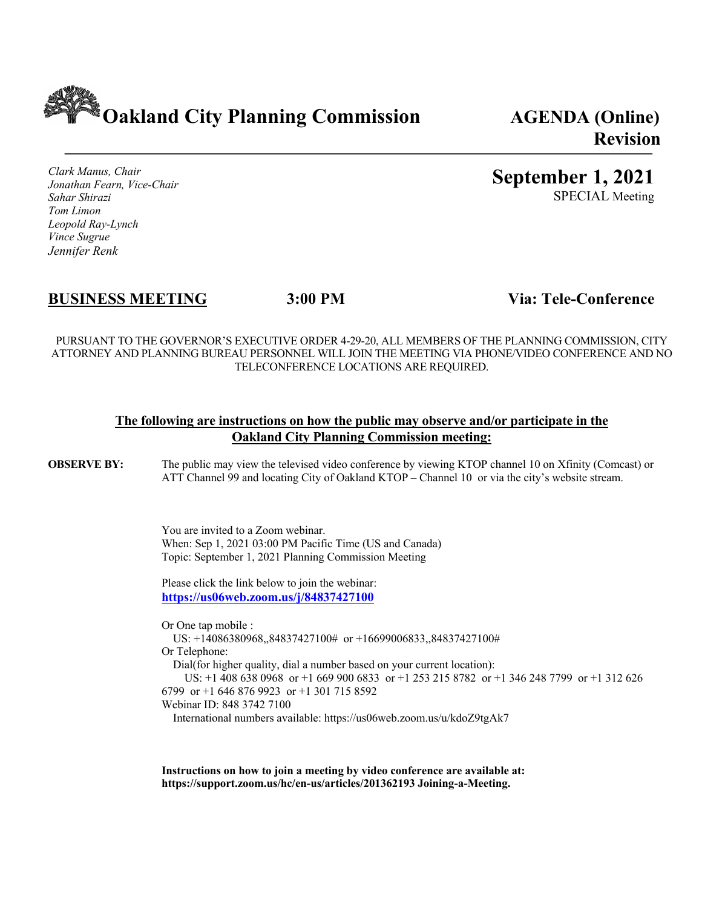**Oakland City Planning Commission AGENDA (Online)**

*Clark Manus, Chair Jonathan Fearn, Vice-Chair Sahar Shirazi Tom Limon Leopold Ray-Lynch Vince Sugrue Jennifer Renk*

### **BUSINESS MEETING 3:00 PM Via: Tele-Conference**

PURSUANT TO THE GOVERNOR'S EXECUTIVE ORDER 4-29-20, ALL MEMBERS OF THE PLANNING COMMISSION, CITY ATTORNEY AND PLANNING BUREAU PERSONNEL WILL JOIN THE MEETING VIA PHONE/VIDEO CONFERENCE AND NO TELECONFERENCE LOCATIONS ARE REQUIRED.

#### **The following are instructions on how the public may observe and/or participate in the Oakland City Planning Commission meeting:**

**OBSERVE BY:** The public may view the televised video conference by viewing KTOP channel 10 on Xfinity (Comcast) or ATT Channel 99 and locating City of Oakland KTOP – Channel 10 or via the city's website stream.

> You are invited to a Zoom webinar. When: Sep 1, 2021 03:00 PM Pacific Time (US and Canada) Topic: September 1, 2021 Planning Commission Meeting

Please click the link below to join the webinar: **https://us06web.zoom.us/j/84837427100**

Or One tap mobile : US: +14086380968,,84837427100# or +16699006833,,84837427100# Or Telephone: Dial(for higher quality, dial a number based on your current location): US: +1 408 638 0968 or +1 669 900 6833 or +1 253 215 8782 or +1 346 248 7799 or +1 312 626 6799 or +1 646 876 9923 or +1 301 715 8592 Webinar ID: 848 3742 7100

International numbers available: https://us06web.zoom.us/u/kdoZ9tgAk7

**Instructions on how to join a meeting by video conference are available at: https://support.zoom.us/hc/en-us/articles/201362193 Joining-a-Meeting.**

# **Revision**

## **September 1, 2021**

SPECIAL Meeting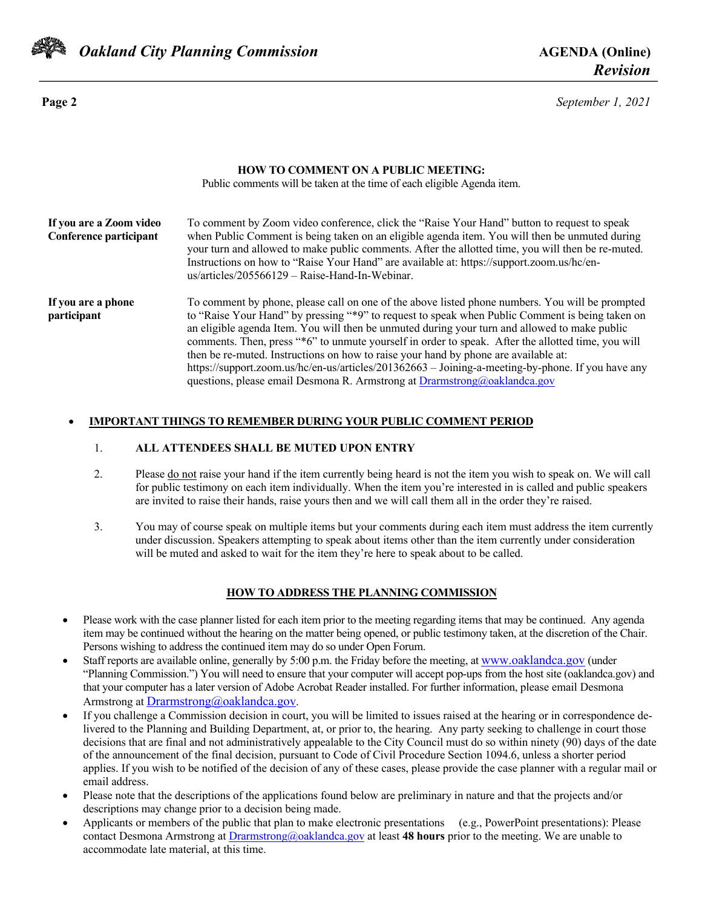

*Oakland City Planning Commission AGENDA* **(Online)** 

**Page 2** *September 1, 2021*

#### **HOW TO COMMENT ON A PUBLIC MEETING:**

Public comments will be taken at the time of each eligible Agenda item.

| If you are a Zoom video<br>Conference participant | To comment by Zoom video conference, click the "Raise Your Hand" button to request to speak<br>when Public Comment is being taken on an eligible agenda item. You will then be unmuted during<br>your turn and allowed to make public comments. After the allotted time, you will then be re-muted.<br>Instructions on how to "Raise Your Hand" are available at: https://support.zoom.us/hc/en-<br>$us/articles/205566129 - Raise-Hand-In-Webinar.$                                                                                                                                                                                                                               |
|---------------------------------------------------|------------------------------------------------------------------------------------------------------------------------------------------------------------------------------------------------------------------------------------------------------------------------------------------------------------------------------------------------------------------------------------------------------------------------------------------------------------------------------------------------------------------------------------------------------------------------------------------------------------------------------------------------------------------------------------|
| If you are a phone<br>participant                 | To comment by phone, please call on one of the above listed phone numbers. You will be prompted<br>to "Raise Your Hand" by pressing "*9" to request to speak when Public Comment is being taken on<br>an eligible agenda Item. You will then be unmuted during your turn and allowed to make public<br>comments. Then, press "*6" to unmute yourself in order to speak. After the allotted time, you will<br>then be re-muted. Instructions on how to raise your hand by phone are available at:<br>https://support.zoom.us/hc/en-us/articles/201362663 - Joining-a-meeting-by-phone. If you have any<br>questions, please email Desmona R. Armstrong at Drarmstrong@oaklandca.gov |

#### • **IMPORTANT THINGS TO REMEMBER DURING YOUR PUBLIC COMMENT PERIOD**

#### 1. **ALL ATTENDEES SHALL BE MUTED UPON ENTRY**

- 2. Please do not raise your hand if the item currently being heard is not the item you wish to speak on. We will call for public testimony on each item individually. When the item you're interested in is called and public speakers are invited to raise their hands, raise yours then and we will call them all in the order they're raised.
- 3. You may of course speak on multiple items but your comments during each item must address the item currently under discussion. Speakers attempting to speak about items other than the item currently under consideration will be muted and asked to wait for the item they're here to speak about to be called.

#### **HOW TO ADDRESS THE PLANNING COMMISSION**

- Please work with the case planner listed for each item prior to the meeting regarding items that may be continued. Any agenda item may be continued without the hearing on the matter being opened, or public testimony taken, at the discretion of the Chair. Persons wishing to address the continued item may do so under Open Forum.
- Staff reports are available online, generally by 5:00 p.m. the Friday before the meeting, at www.oaklandca.gov (under "Planning Commission.") You will need to ensure that your computer will accept pop-ups from the host site (oaklandca.gov) and that your computer has a later version of Adobe Acrobat Reader installed. For further information, please email Desmona Armstrong at Drarmstrong@oaklandca.gov.
- If you challenge a Commission decision in court, you will be limited to issues raised at the hearing or in correspondence delivered to the Planning and Building Department, at, or prior to, the hearing. Any party seeking to challenge in court those decisions that are final and not administratively appealable to the City Council must do so within ninety (90) days of the date of the announcement of the final decision, pursuant to Code of Civil Procedure Section 1094.6, unless a shorter period applies. If you wish to be notified of the decision of any of these cases, please provide the case planner with a regular mail or email address.
- Please note that the descriptions of the applications found below are preliminary in nature and that the projects and/or descriptions may change prior to a decision being made.
- Applicants or members of the public that plan to make electronic presentations (e.g., PowerPoint presentations): Please contact Desmona Armstrong at Drarmstrong@oaklandca.gov at least **48 hours** prior to the meeting. We are unable to accommodate late material, at this time.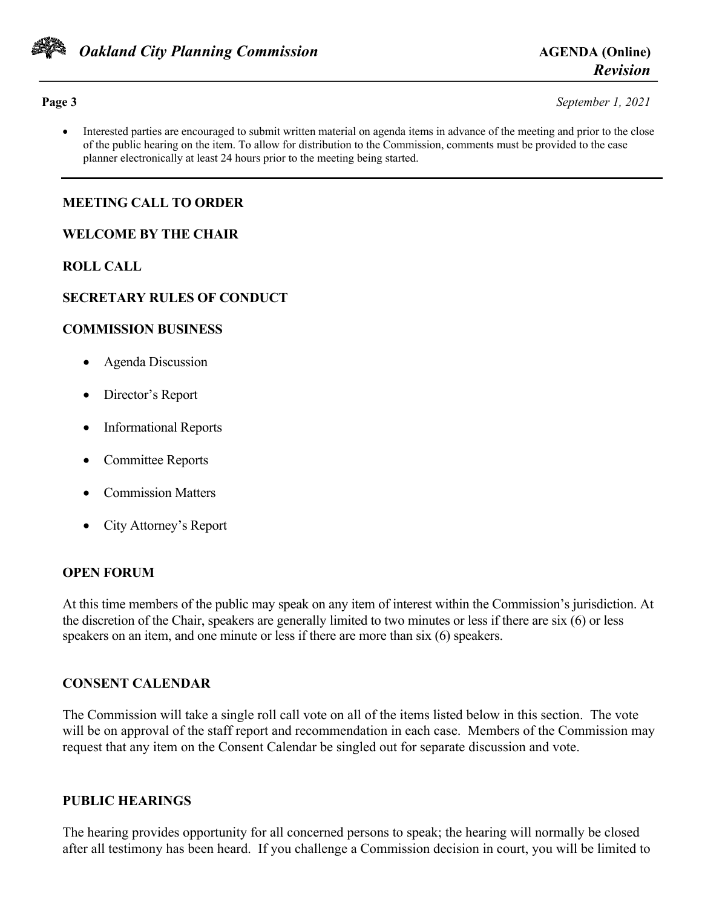

**Page 3** *September 1, 2021*

• Interested parties are encouraged to submit written material on agenda items in advance of the meeting and prior to the close of the public hearing on the item. To allow for distribution to the Commission, comments must be provided to the case planner electronically at least 24 hours prior to the meeting being started.

#### **MEETING CALL TO ORDER**

#### **WELCOME BY THE CHAIR**

#### **ROLL CALL**

#### **SECRETARY RULES OF CONDUCT**

#### **COMMISSION BUSINESS**

- Agenda Discussion
- Director's Report
- Informational Reports
- Committee Reports
- Commission Matters
- City Attorney's Report

#### **OPEN FORUM**

At this time members of the public may speak on any item of interest within the Commission's jurisdiction. At the discretion of the Chair, speakers are generally limited to two minutes or less if there are six (6) or less speakers on an item, and one minute or less if there are more than six (6) speakers.

#### **CONSENT CALENDAR**

The Commission will take a single roll call vote on all of the items listed below in this section. The vote will be on approval of the staff report and recommendation in each case. Members of the Commission may request that any item on the Consent Calendar be singled out for separate discussion and vote.

#### **PUBLIC HEARINGS**

The hearing provides opportunity for all concerned persons to speak; the hearing will normally be closed after all testimony has been heard. If you challenge a Commission decision in court, you will be limited to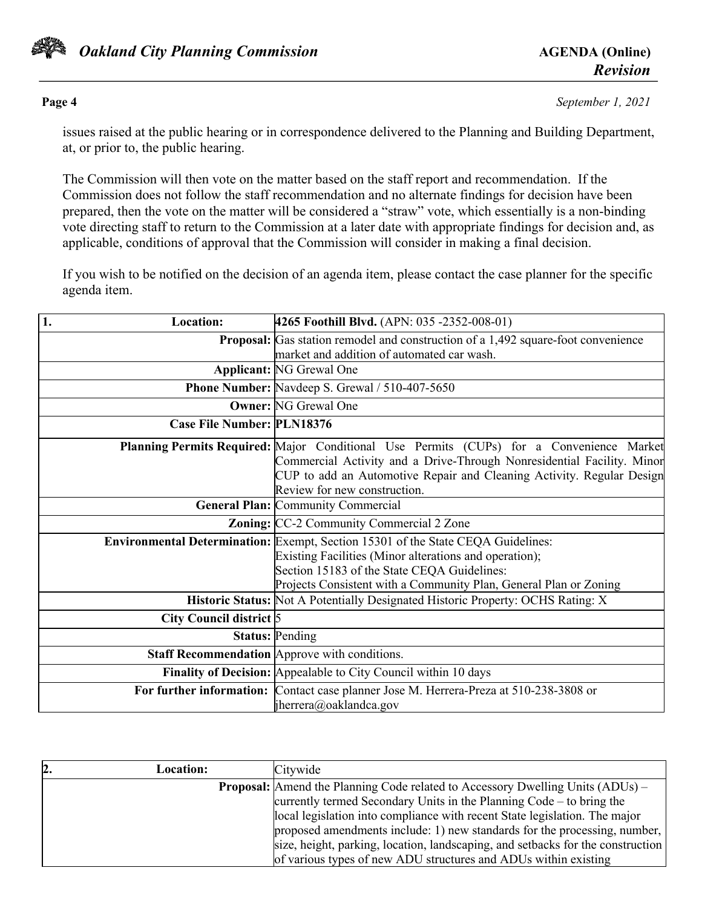

**Page 4** *September 1, 2021*

issues raised at the public hearing or in correspondence delivered to the Planning and Building Department, at, or prior to, the public hearing.

The Commission will then vote on the matter based on the staff report and recommendation. If the Commission does not follow the staff recommendation and no alternate findings for decision have been prepared, then the vote on the matter will be considered a "straw" vote, which essentially is a non-binding vote directing staff to return to the Commission at a later date with appropriate findings for decision and, as applicable, conditions of approval that the Commission will consider in making a final decision.

If you wish to be notified on the decision of an agenda item, please contact the case planner for the specific agenda item.

| 1.<br><b>Location:</b>            | 4265 Foothill Blvd. (APN: 035 -2352-008-01)                                                                                                                                                                                                                                 |
|-----------------------------------|-----------------------------------------------------------------------------------------------------------------------------------------------------------------------------------------------------------------------------------------------------------------------------|
|                                   | <b>Proposal:</b> Gas station remodel and construction of a 1,492 square-foot convenience                                                                                                                                                                                    |
|                                   | market and addition of automated car wash.                                                                                                                                                                                                                                  |
|                                   | <b>Applicant: NG Grewal One</b>                                                                                                                                                                                                                                             |
|                                   | Phone Number: Navdeep S. Grewal / 510-407-5650                                                                                                                                                                                                                              |
|                                   | <b>Owner:</b> NG Grewal One                                                                                                                                                                                                                                                 |
| <b>Case File Number: PLN18376</b> |                                                                                                                                                                                                                                                                             |
|                                   | Planning Permits Required: Major Conditional Use Permits (CUPs) for a Convenience Market<br>Commercial Activity and a Drive-Through Nonresidential Facility. Minor<br>CUP to add an Automotive Repair and Cleaning Activity. Regular Design<br>Review for new construction. |
|                                   | <b>General Plan: Community Commercial</b>                                                                                                                                                                                                                                   |
|                                   | Zoning: CC-2 Community Commercial 2 Zone                                                                                                                                                                                                                                    |
|                                   | <b>Environmental Determination:</b> Exempt, Section 15301 of the State CEQA Guidelines:<br>Existing Facilities (Minor alterations and operation);<br>Section 15183 of the State CEQA Guidelines:<br>Projects Consistent with a Community Plan, General Plan or Zoning       |
|                                   | Historic Status: Not A Potentially Designated Historic Property: OCHS Rating: X                                                                                                                                                                                             |
| City Council district 5           |                                                                                                                                                                                                                                                                             |
|                                   | <b>Status: Pending</b>                                                                                                                                                                                                                                                      |
|                                   | <b>Staff Recommendation</b> Approve with conditions.                                                                                                                                                                                                                        |
|                                   | Finality of Decision: Appealable to City Council within 10 days                                                                                                                                                                                                             |
|                                   | For further information: Contact case planner Jose M. Herrera-Preza at 510-238-3808 or<br>jherrera@oaklandca.gov                                                                                                                                                            |

| 12. | <b>Location:</b> | Citywide                                                                              |
|-----|------------------|---------------------------------------------------------------------------------------|
|     |                  | <b>Proposal:</b> Amend the Planning Code related to Accessory Dwelling Units (ADUs) – |
|     |                  | currently termed Secondary Units in the Planning Code $-$ to bring the                |
|     |                  | local legislation into compliance with recent State legislation. The major            |
|     |                  | proposed amendments include: 1) new standards for the processing, number,             |
|     |                  | size, height, parking, location, landscaping, and setbacks for the construction       |
|     |                  | of various types of new ADU structures and ADUs within existing                       |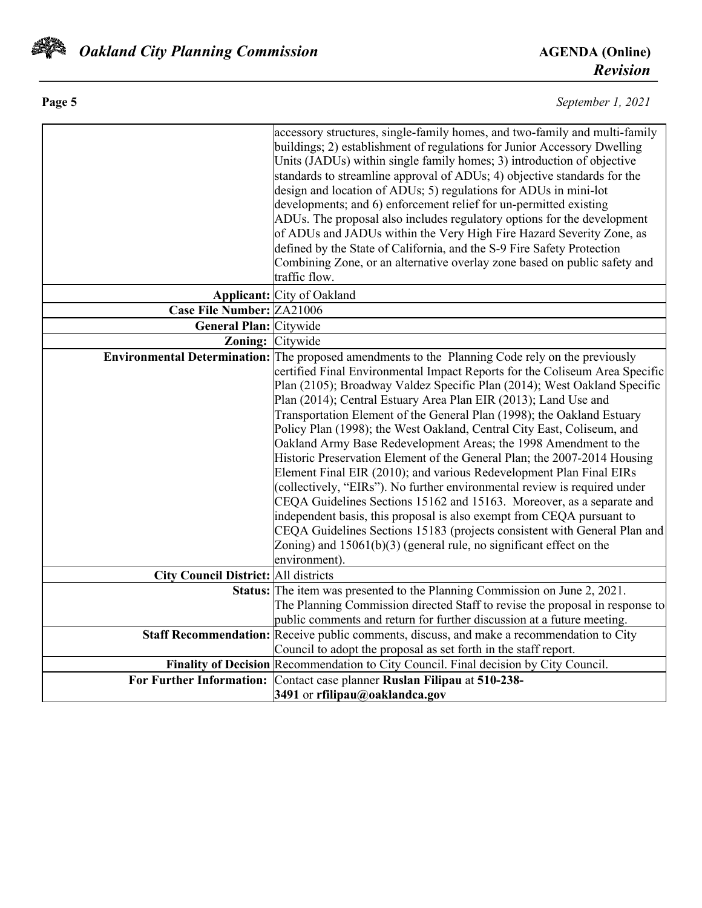

| Page 5 | September 1, 2021 |
|--------|-------------------|
|        |                   |

|                                             | accessory structures, single-family homes, and two-family and multi-family<br>buildings; 2) establishment of regulations for Junior Accessory Dwelling<br>Units (JADUs) within single family homes; 3) introduction of objective<br>standards to streamline approval of ADUs; 4) objective standards for the<br>design and location of ADUs; 5) regulations for ADUs in mini-lot |
|---------------------------------------------|----------------------------------------------------------------------------------------------------------------------------------------------------------------------------------------------------------------------------------------------------------------------------------------------------------------------------------------------------------------------------------|
|                                             | developments; and 6) enforcement relief for un-permitted existing<br>ADUs. The proposal also includes regulatory options for the development                                                                                                                                                                                                                                     |
|                                             | of ADUs and JADUs within the Very High Fire Hazard Severity Zone, as                                                                                                                                                                                                                                                                                                             |
|                                             | defined by the State of California, and the S-9 Fire Safety Protection                                                                                                                                                                                                                                                                                                           |
|                                             | Combining Zone, or an alternative overlay zone based on public safety and                                                                                                                                                                                                                                                                                                        |
|                                             | traffic flow.                                                                                                                                                                                                                                                                                                                                                                    |
|                                             | Applicant: City of Oakland                                                                                                                                                                                                                                                                                                                                                       |
| Case File Number: ZA21006                   |                                                                                                                                                                                                                                                                                                                                                                                  |
| <b>General Plan:</b> Citywide               |                                                                                                                                                                                                                                                                                                                                                                                  |
| Zoning: Citywide                            |                                                                                                                                                                                                                                                                                                                                                                                  |
|                                             | Environmental Determination: The proposed amendments to the Planning Code rely on the previously                                                                                                                                                                                                                                                                                 |
|                                             | certified Final Environmental Impact Reports for the Coliseum Area Specific                                                                                                                                                                                                                                                                                                      |
|                                             | Plan (2105); Broadway Valdez Specific Plan (2014); West Oakland Specific                                                                                                                                                                                                                                                                                                         |
|                                             | Plan (2014); Central Estuary Area Plan EIR (2013); Land Use and<br>Transportation Element of the General Plan (1998); the Oakland Estuary                                                                                                                                                                                                                                        |
|                                             | Policy Plan (1998); the West Oakland, Central City East, Coliseum, and                                                                                                                                                                                                                                                                                                           |
|                                             | Oakland Army Base Redevelopment Areas; the 1998 Amendment to the                                                                                                                                                                                                                                                                                                                 |
|                                             | Historic Preservation Element of the General Plan; the 2007-2014 Housing                                                                                                                                                                                                                                                                                                         |
|                                             | Element Final EIR (2010); and various Redevelopment Plan Final EIRs                                                                                                                                                                                                                                                                                                              |
|                                             | (collectively, "EIRs"). No further environmental review is required under                                                                                                                                                                                                                                                                                                        |
|                                             | CEQA Guidelines Sections 15162 and 15163. Moreover, as a separate and                                                                                                                                                                                                                                                                                                            |
|                                             | independent basis, this proposal is also exempt from CEQA pursuant to                                                                                                                                                                                                                                                                                                            |
|                                             | CEQA Guidelines Sections 15183 (projects consistent with General Plan and                                                                                                                                                                                                                                                                                                        |
|                                             | Zoning) and $15061(b)(3)$ (general rule, no significant effect on the                                                                                                                                                                                                                                                                                                            |
|                                             | environment).                                                                                                                                                                                                                                                                                                                                                                    |
| <b>City Council District: All districts</b> |                                                                                                                                                                                                                                                                                                                                                                                  |
|                                             | Status: The item was presented to the Planning Commission on June 2, 2021.                                                                                                                                                                                                                                                                                                       |
|                                             | The Planning Commission directed Staff to revise the proposal in response to                                                                                                                                                                                                                                                                                                     |
|                                             | public comments and return for further discussion at a future meeting.                                                                                                                                                                                                                                                                                                           |
|                                             | Staff Recommendation: Receive public comments, discuss, and make a recommendation to City                                                                                                                                                                                                                                                                                        |
|                                             | Council to adopt the proposal as set forth in the staff report.<br>Finality of Decision Recommendation to City Council. Final decision by City Council.                                                                                                                                                                                                                          |
|                                             | For Further Information: Contact case planner Ruslan Filipau at 510-238-                                                                                                                                                                                                                                                                                                         |
|                                             | 3491 or rfilipau@oaklandca.gov                                                                                                                                                                                                                                                                                                                                                   |
|                                             |                                                                                                                                                                                                                                                                                                                                                                                  |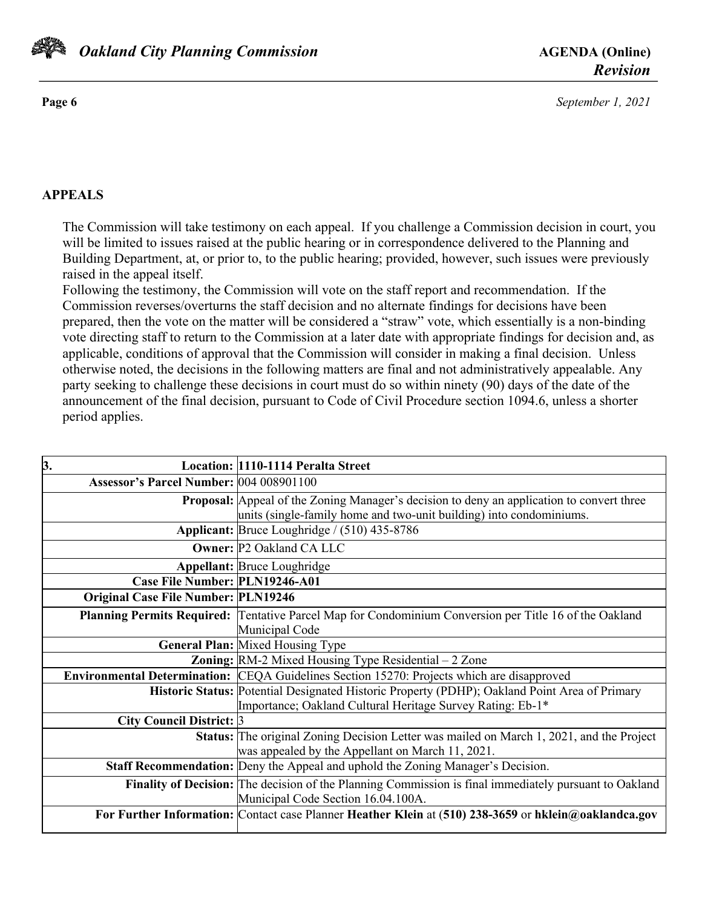

**Page 6** *September 1, 2021*

### **APPEALS**

The Commission will take testimony on each appeal. If you challenge a Commission decision in court, you will be limited to issues raised at the public hearing or in correspondence delivered to the Planning and Building Department, at, or prior to, to the public hearing; provided, however, such issues were previously raised in the appeal itself.

Following the testimony, the Commission will vote on the staff report and recommendation. If the Commission reverses/overturns the staff decision and no alternate findings for decisions have been prepared, then the vote on the matter will be considered a "straw" vote, which essentially is a non-binding vote directing staff to return to the Commission at a later date with appropriate findings for decision and, as applicable, conditions of approval that the Commission will consider in making a final decision. Unless otherwise noted, the decisions in the following matters are final and not administratively appealable. Any party seeking to challenge these decisions in court must do so within ninety (90) days of the date of the announcement of the final decision, pursuant to Code of Civil Procedure section 1094.6, unless a shorter period applies.

| 3.                                         | Location: 1110-1114 Peralta Street                                                                                                                                      |
|--------------------------------------------|-------------------------------------------------------------------------------------------------------------------------------------------------------------------------|
| Assessor's Parcel Number: 004 008901100    |                                                                                                                                                                         |
|                                            | <b>Proposal:</b> Appeal of the Zoning Manager's decision to deny an application to convert three<br>units (single-family home and two-unit building) into condominiums. |
|                                            | Applicant: Bruce Loughridge / (510) 435-8786                                                                                                                            |
|                                            | <b>Owner: P2 Oakland CA LLC</b>                                                                                                                                         |
|                                            | <b>Appellant: Bruce Loughridge</b>                                                                                                                                      |
| Case File Number: PLN19246-A01             |                                                                                                                                                                         |
| <b>Original Case File Number: PLN19246</b> |                                                                                                                                                                         |
|                                            | Planning Permits Required: Tentative Parcel Map for Condominium Conversion per Title 16 of the Oakland                                                                  |
|                                            | Municipal Code                                                                                                                                                          |
|                                            | General Plan: Mixed Housing Type                                                                                                                                        |
|                                            | <b>Zoning:</b> $RM-2$ Mixed Housing Type Residential $-2$ Zone                                                                                                          |
|                                            | <b>Environmental Determination:</b> CEQA Guidelines Section 15270: Projects which are disapproved                                                                       |
|                                            | Historic Status: Potential Designated Historic Property (PDHP); Oakland Point Area of Primary<br>Importance; Oakland Cultural Heritage Survey Rating: Eb-1*             |
| City Council District: 3                   |                                                                                                                                                                         |
|                                            | <b>Status:</b> The original Zoning Decision Letter was mailed on March 1, 2021, and the Project<br>was appealed by the Appellant on March 11, 2021.                     |
|                                            | Staff Recommendation: Deny the Appeal and uphold the Zoning Manager's Decision.                                                                                         |
|                                            | Finality of Decision: The decision of the Planning Commission is final immediately pursuant to Oakland<br>Municipal Code Section 16.04.100A.                            |
|                                            | For Further Information: Contact case Planner Heather Klein at (510) 238-3659 or hklein@oaklandca.gov                                                                   |